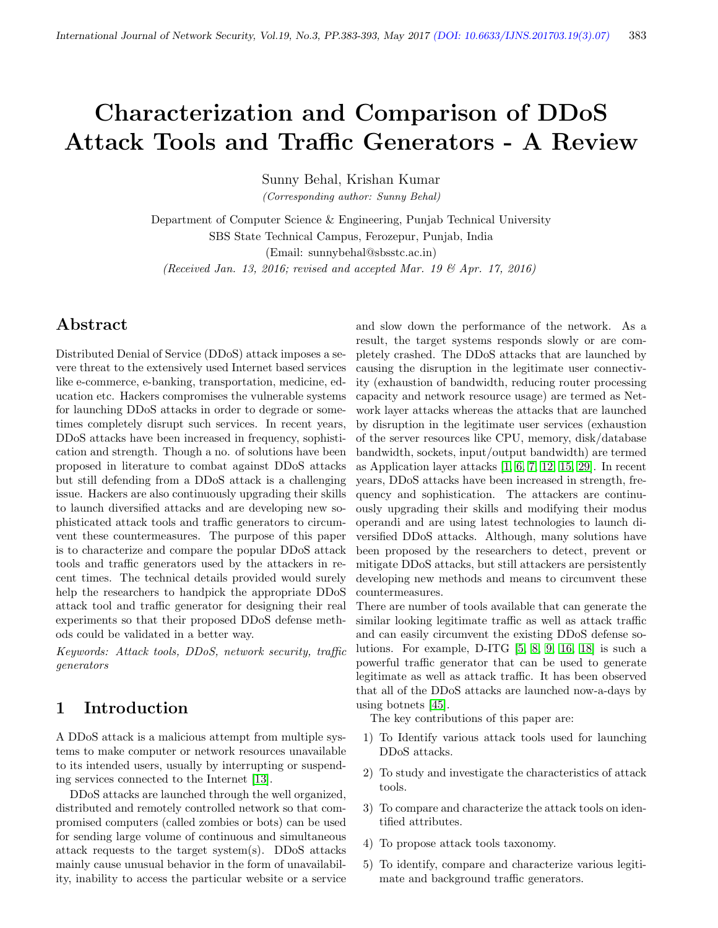# Characterization and Comparison of DDoS Attack Tools and Traffic Generators - A Review

Sunny Behal, Krishan Kumar

(Corresponding author: Sunny Behal)

Department of Computer Science & Engineering, Punjab Technical University SBS State Technical Campus, Ferozepur, Punjab, India (Email: sunnybehal@sbsstc.ac.in)

(Received Jan. 13, 2016; revised and accepted Mar. 19  $\mathcal{B}$  Apr. 17, 2016)

### Abstract

Distributed Denial of Service (DDoS) attack imposes a severe threat to the extensively used Internet based services like e-commerce, e-banking, transportation, medicine, education etc. Hackers compromises the vulnerable systems for launching DDoS attacks in order to degrade or sometimes completely disrupt such services. In recent years, DDoS attacks have been increased in frequency, sophistication and strength. Though a no. of solutions have been proposed in literature to combat against DDoS attacks but still defending from a DDoS attack is a challenging issue. Hackers are also continuously upgrading their skills to launch diversified attacks and are developing new sophisticated attack tools and traffic generators to circumvent these countermeasures. The purpose of this paper is to characterize and compare the popular DDoS attack tools and traffic generators used by the attackers in recent times. The technical details provided would surely help the researchers to handpick the appropriate DDoS attack tool and traffic generator for designing their real experiments so that their proposed DDoS defense methods could be validated in a better way.

Keywords: Attack tools, DDoS, network security, traffic generators

### 1 Introduction

A DDoS attack is a malicious attempt from multiple systems to make computer or network resources unavailable to its intended users, usually by interrupting or suspending services connected to the Internet [\[13\]](#page-9-0).

DDoS attacks are launched through the well organized, distributed and remotely controlled network so that compromised computers (called zombies or bots) can be used for sending large volume of continuous and simultaneous attack requests to the target system(s). DDoS attacks mainly cause unusual behavior in the form of unavailability, inability to access the particular website or a service

and slow down the performance of the network. As a result, the target systems responds slowly or are completely crashed. The DDoS attacks that are launched by causing the disruption in the legitimate user connectivity (exhaustion of bandwidth, reducing router processing capacity and network resource usage) are termed as Network layer attacks whereas the attacks that are launched by disruption in the legitimate user services (exhaustion of the server resources like CPU, memory, disk/database bandwidth, sockets, input/output bandwidth) are termed as Application layer attacks [\[1,](#page-9-1) [6,](#page-9-2) [7,](#page-9-3) [12,](#page-9-4) [15,](#page-9-5) [29\]](#page-9-6). In recent years, DDoS attacks have been increased in strength, frequency and sophistication. The attackers are continuously upgrading their skills and modifying their modus operandi and are using latest technologies to launch diversified DDoS attacks. Although, many solutions have been proposed by the researchers to detect, prevent or mitigate DDoS attacks, but still attackers are persistently developing new methods and means to circumvent these countermeasures.

There are number of tools available that can generate the similar looking legitimate traffic as well as attack traffic and can easily circumvent the existing DDoS defense solutions. For example, D-ITG [\[5,](#page-9-7) [8,](#page-9-8) [9,](#page-9-9) [16,](#page-9-10) [18\]](#page-9-11) is such a powerful traffic generator that can be used to generate legitimate as well as attack traffic. It has been observed that all of the DDoS attacks are launched now-a-days by using botnets [\[45\]](#page-10-0).

The key contributions of this paper are:

- 1) To Identify various attack tools used for launching DDoS attacks.
- 2) To study and investigate the characteristics of attack tools.
- 3) To compare and characterize the attack tools on identified attributes.
- 4) To propose attack tools taxonomy.
- 5) To identify, compare and characterize various legitimate and background traffic generators.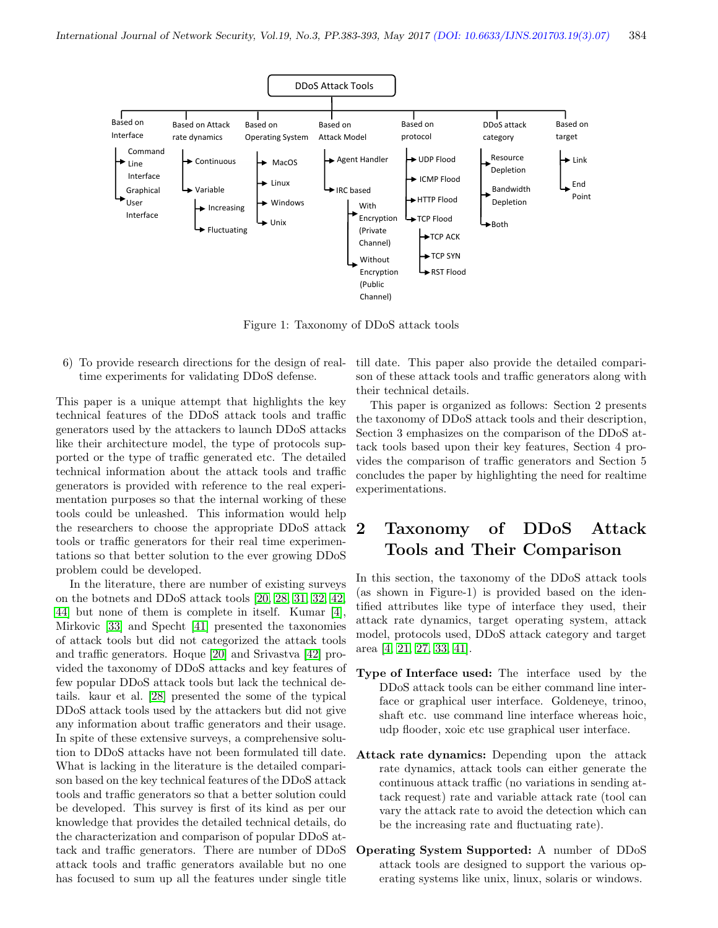

Figure 1: Taxonomy of DDoS attack tools

6) To provide research directions for the design of realtime experiments for validating DDoS defense.

This paper is a unique attempt that highlights the key technical features of the DDoS attack tools and traffic generators used by the attackers to launch DDoS attacks like their architecture model, the type of protocols supported or the type of traffic generated etc. The detailed technical information about the attack tools and traffic generators is provided with reference to the real experimentation purposes so that the internal working of these tools could be unleashed. This information would help the researchers to choose the appropriate DDoS attack tools or traffic generators for their real time experimentations so that better solution to the ever growing DDoS problem could be developed.

In the literature, there are number of existing surveys on the botnets and DDoS attack tools [\[20,](#page-9-12) [28,](#page-9-13) [31,](#page-10-1) [32,](#page-10-2) [42,](#page-10-3) [44\]](#page-10-4) but none of them is complete in itself. Kumar [\[4\]](#page-9-14), Mirkovic [\[33\]](#page-10-5) and Specht [\[41\]](#page-10-6) presented the taxonomies of attack tools but did not categorized the attack tools and traffic generators. Hoque [\[20\]](#page-9-12) and Srivastva [\[42\]](#page-10-3) provided the taxonomy of DDoS attacks and key features of few popular DDoS attack tools but lack the technical details. kaur et al. [\[28\]](#page-9-13) presented the some of the typical DDoS attack tools used by the attackers but did not give any information about traffic generators and their usage. In spite of these extensive surveys, a comprehensive solution to DDoS attacks have not been formulated till date. What is lacking in the literature is the detailed comparison based on the key technical features of the DDoS attack tools and traffic generators so that a better solution could be developed. This survey is first of its kind as per our knowledge that provides the detailed technical details, do the characterization and comparison of popular DDoS attack and traffic generators. There are number of DDoS attack tools and traffic generators available but no one has focused to sum up all the features under single title

till date. This paper also provide the detailed comparison of these attack tools and traffic generators along with their technical details.

This paper is organized as follows: Section 2 presents the taxonomy of DDoS attack tools and their description, Section 3 emphasizes on the comparison of the DDoS attack tools based upon their key features, Section 4 provides the comparison of traffic generators and Section 5 concludes the paper by highlighting the need for realtime experimentations.

### 2 Taxonomy of DDoS Attack Tools and Their Comparison

In this section, the taxonomy of the DDoS attack tools (as shown in Figure-1) is provided based on the identified attributes like type of interface they used, their attack rate dynamics, target operating system, attack model, protocols used, DDoS attack category and target area [\[4,](#page-9-14) [21,](#page-9-15) [27,](#page-9-16) [33,](#page-10-5) [41\]](#page-10-6).

- Type of Interface used: The interface used by the DDoS attack tools can be either command line interface or graphical user interface. Goldeneye, trinoo, shaft etc. use command line interface whereas hoic, udp flooder, xoic etc use graphical user interface.
- Attack rate dynamics: Depending upon the attack rate dynamics, attack tools can either generate the continuous attack traffic (no variations in sending attack request) rate and variable attack rate (tool can vary the attack rate to avoid the detection which can be the increasing rate and fluctuating rate).
- Operating System Supported: A number of DDoS attack tools are designed to support the various operating systems like unix, linux, solaris or windows.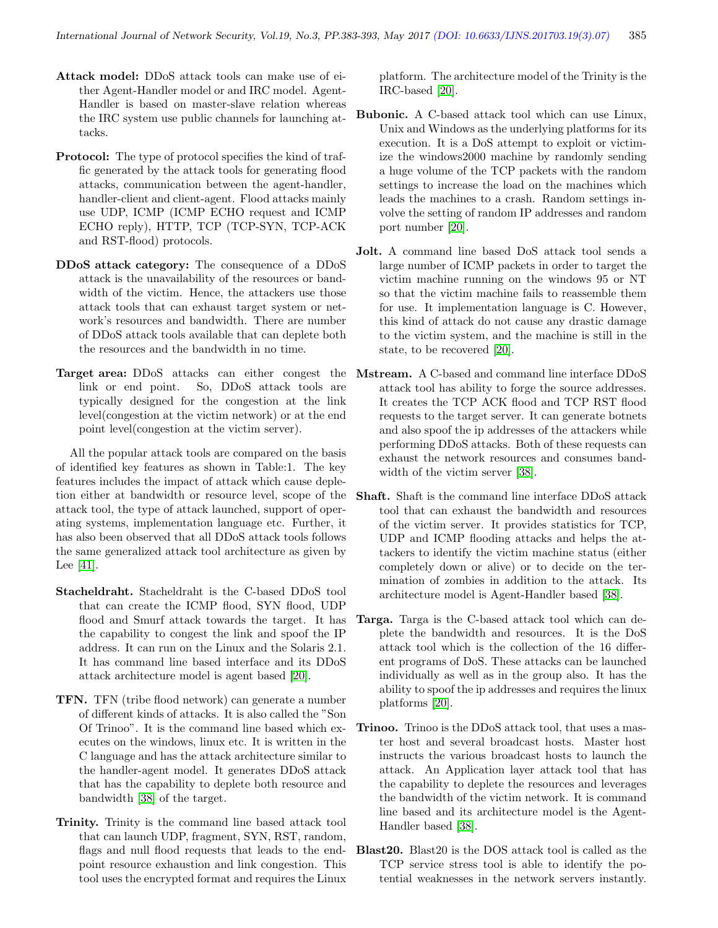- Attack model: DDoS attack tools can make use of either Agent-Handler model or and IRC model. Agent-Handler is based on master-slave relation whereas the IRC system use public channels for launching attacks.
- Protocol: The type of protocol specifies the kind of traffic generated by the attack tools for generating flood attacks, communication between the agent-handler, handler-client and client-agent. Flood attacks mainly use UDP, ICMP (ICMP ECHO request and ICMP ECHO reply), HTTP, TCP (TCP-SYN, TCP-ACK and RST-flood) protocols.
- DDoS attack category: The consequence of a DDoS attack is the unavailability of the resources or bandwidth of the victim. Hence, the attackers use those attack tools that can exhaust target system or network's resources and bandwidth. There are number of DDoS attack tools available that can deplete both the resources and the bandwidth in no time.
- Target area: DDoS attacks can either congest the link or end point. So, DDoS attack tools are typically designed for the congestion at the link level(congestion at the victim network) or at the end point level(congestion at the victim server).

All the popular attack tools are compared on the basis of identified key features as shown in Table:1. The key features includes the impact of attack which cause depletion either at bandwidth or resource level, scope of the attack tool, the type of attack launched, support of operating systems, implementation language etc. Further, it has also been observed that all DDoS attack tools follows the same generalized attack tool architecture as given by Lee [\[41\]](#page-10-6).

- Stacheldraht. Stacheldraht is the C-based DDoS tool that can create the ICMP flood, SYN flood, UDP flood and Smurf attack towards the target. It has the capability to congest the link and spoof the IP address. It can run on the Linux and the Solaris 2.1. It has command line based interface and its DDoS attack architecture model is agent based [\[20\]](#page-9-12).
- TFN. TFN (tribe flood network) can generate a number of different kinds of attacks. It is also called the "Son Of Trinoo". It is the command line based which executes on the windows, linux etc. It is written in the C language and has the attack architecture similar to the handler-agent model. It generates DDoS attack that has the capability to deplete both resource and bandwidth [\[38\]](#page-10-7) of the target.
- Trinity. Trinity is the command line based attack tool that can launch UDP, fragment, SYN, RST, random, flags and null flood requests that leads to the endpoint resource exhaustion and link congestion. This tool uses the encrypted format and requires the Linux

platform. The architecture model of the Trinity is the IRC-based [\[20\]](#page-9-12).

- Bubonic. A C-based attack tool which can use Linux, Unix and Windows as the underlying platforms for its execution. It is a DoS attempt to exploit or victimize the windows2000 machine by randomly sending a huge volume of the TCP packets with the random settings to increase the load on the machines which leads the machines to a crash. Random settings involve the setting of random IP addresses and random port number [\[20\]](#page-9-12).
- Jolt. A command line based DoS attack tool sends a large number of ICMP packets in order to target the victim machine running on the windows 95 or NT so that the victim machine fails to reassemble them for use. It implementation language is C. However, this kind of attack do not cause any drastic damage to the victim system, and the machine is still in the state, to be recovered [\[20\]](#page-9-12).
- Mstream. A C-based and command line interface DDoS attack tool has ability to forge the source addresses. It creates the TCP ACK flood and TCP RST flood requests to the target server. It can generate botnets and also spoof the ip addresses of the attackers while performing DDoS attacks. Both of these requests can exhaust the network resources and consumes bandwidth of the victim server [\[38\]](#page-10-7).
- Shaft. Shaft is the command line interface DDoS attack tool that can exhaust the bandwidth and resources of the victim server. It provides statistics for TCP, UDP and ICMP flooding attacks and helps the attackers to identify the victim machine status (either completely down or alive) or to decide on the termination of zombies in addition to the attack. Its architecture model is Agent-Handler based [\[38\]](#page-10-7).
- Targa. Targa is the C-based attack tool which can deplete the bandwidth and resources. It is the DoS attack tool which is the collection of the 16 different programs of DoS. These attacks can be launched individually as well as in the group also. It has the ability to spoof the ip addresses and requires the linux platforms [\[20\]](#page-9-12).
- Trinoo. Trinoo is the DDoS attack tool, that uses a master host and several broadcast hosts. Master host instructs the various broadcast hosts to launch the attack. An Application layer attack tool that has the capability to deplete the resources and leverages the bandwidth of the victim network. It is command line based and its architecture model is the Agent-Handler based [\[38\]](#page-10-7).
- Blast20. Blast20 is the DOS attack tool is called as the TCP service stress tool is able to identify the potential weaknesses in the network servers instantly.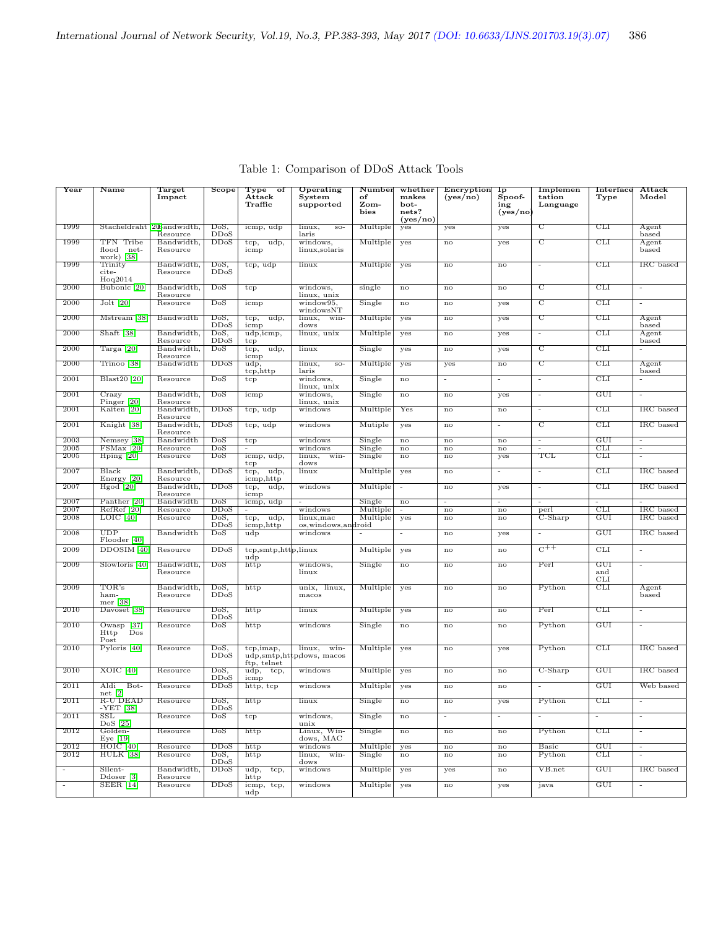| Year                     | Name                                                           | <b>Target</b><br>Impact | Scope        | $_{\rm Type}$<br>$\circ$ f<br>Attack<br>Traffic | Operating<br>System<br>supported             | Number<br>of<br>Zom-<br>bies | whether<br>makes<br>bot-<br>nets?<br>(yes/no) | Encryption<br>(yes/no)                    | $\overline{\text{Ip}}$<br>Spoof-<br>ing<br>(yes/no) | Implemen<br>tation<br>Language | <b>Interface</b><br>Type | Attack<br>Model          |
|--------------------------|----------------------------------------------------------------|-------------------------|--------------|-------------------------------------------------|----------------------------------------------|------------------------------|-----------------------------------------------|-------------------------------------------|-----------------------------------------------------|--------------------------------|--------------------------|--------------------------|
| 1999                     | Stacheldraht 20Bandwidth,                                      | Resource                | DoS,<br>DDoS | icmp, udp                                       | linux,<br>$SO-$<br>laris                     | Multiple                     | yes                                           | yes                                       | yes                                                 | で                              | CLI                      | Agent<br>based           |
| 1999                     | TFN Tribe<br>flood net-<br>work) [38]                          | Bandwidth,<br>Resource  | <b>DDoS</b>  | udp,<br>tcp,<br>icmp                            | windows,<br>linux, solaris                   | Multiple                     | yes                                           | $\mathbf{no}$                             | yes                                                 | C                              | <b>CLI</b>               | Agent<br>based           |
| 1999                     | Trinity<br>cite-                                               | Bandwidth,<br>Resource  | DoS,<br>DDoS | tcp, udp                                        | linux                                        | Multiple                     | yes                                           | no                                        | no                                                  | $\overline{\phantom{a}}$       | CLI                      | IRC based                |
| 2000                     | Hoq2014<br>Bubonic <sup>[20]</sup>                             | Bandwidth.<br>Resource  | DoS          | tcp                                             | windows,<br>linux, unix                      | single                       | no                                            | no                                        | $\mathbf{no}$                                       | $\overline{\text{c}}$          | CLI                      |                          |
| 2000                     | $Jolt$ [20]                                                    | Resource                | DoS          | icmp                                            | window95,<br>windowsNT                       | Single                       | $\mathop{\rm no}\nolimits$                    | no                                        | yes                                                 | で                              | CLI                      | $\sim$                   |
| 2000                     | Mstream <sup>[38]</sup>                                        | Bandwidth               | DoS,<br>DDoS | tcp, udp,<br>icmp                               | linux,<br>win-<br>dows                       | Multiple                     | yes                                           | no                                        | yes                                                 | $\overline{\mathrm{c}}$        | CLI                      | Agent<br>based           |
| 2000                     | Shaft $[38]$                                                   | Bandwidth.<br>Resource  | DoS,<br>DDoS | udp,icmp,<br>$_{\rm{top}}$                      | linux, unix                                  | Multiple                     | yes                                           | no                                        | yes                                                 | $\sim$                         | <b>CLI</b>               | Agent<br>based           |
| 2000                     | $\text{Targa}$ [20]                                            | Bandwidth.<br>Resource  | DoS          | udp,<br>$_{\rm{top},}$<br>icmp                  | linux                                        | Single                       | yes                                           | no                                        | yes                                                 | $\overline{\text{c}}$          | CLI                      | $\blacksquare$           |
| 2000                     | Trinoo <sup>[38]</sup>                                         | Bandwidth               | DDoS         | $\overline{\text{udp}}$<br>tcp, http            | linux,<br>$SO-$<br>laris                     | Multiple                     | yes                                           | yes                                       | $\mathbf{no}$                                       | て                              | CLI                      | Agent<br>based           |
| 2001                     | $Blast20$ [20]                                                 | Resource                | DoS          | tcp                                             | windows,<br>linux, unix                      | Single                       | no                                            | $\overline{\phantom{a}}$                  | $\overline{\phantom{a}}$                            |                                | CLI                      |                          |
| 2001                     | Crazy<br>Pinger [20]                                           | Bandwidth,<br>Resource  | DoS          | icmp                                            | windows,<br>linux, unix                      | Single                       | no                                            | no                                        | yes                                                 |                                | GUI                      |                          |
| 2001                     | Kaiten [20]                                                    | Bandwidth,<br>Resource  | DDoS         | tcp, udp                                        | windows                                      | Multiple                     | Yes                                           | no                                        | $\mathop{\rm no}\nolimits$                          | $\overline{\phantom{a}}$       | CLI                      | IRC based                |
| 2001                     | Knight [38]                                                    | Bandwidth,<br>Resource  | DDoS         | $tcp$ , $udp$                                   | windows                                      | Mutiple                      | yes                                           | no                                        | $\blacksquare$                                      | で                              | CLI                      | IRC based                |
| 2003                     | Nemsey [38]                                                    | Bandwidth               | DoS          | $_{\rm{tcp}}$                                   | windows                                      | Single                       | $\mathop{\rm no}\nolimits$                    | no                                        | $\mathop{\rm no}\nolimits$                          | $\overline{\phantom{a}}$       | GUI                      | $\overline{\phantom{a}}$ |
| 2005<br>2005             | $FSMax$ [20]<br>$H$ ping [20]                                  | Resource<br>Resource    | DoS<br>DoS   | $\blacksquare$<br>icmp, udp,<br>tcp             | windows<br>linux,<br>win-<br>dows            | Single<br>Single             | $\overline{no}$<br>$_{\rm no}$                | $\overline{no}$<br>$\mathbf{n}\mathbf{o}$ | $\overline{no}$<br>yes                              | TCL                            | <b>CLI</b><br>CLI        | ٠<br>$\sim$              |
| 2007                     | Black<br>Energy [20]                                           | Bandwidth,<br>Resource  | DDoS         | udp,<br>tcp,<br>icmp, http                      | linux                                        | Multiple                     | yes                                           | no                                        | $\blacksquare$                                      | $\sim$                         | CLI                      | IRC based                |
| 2007                     | $H$ god [20]                                                   | Bandwidth.<br>Resource  | DDoS         | tcp,<br>$\overline{\text{udp}}$<br>icmp         | windows                                      | Multiple                     | $\blacksquare$                                | no                                        | yes                                                 | $\sim$                         | CLI                      | IRC based                |
| 2007                     | Panther <sup>[20]</sup>                                        | Bandwidth               | DoS          | icmp, udp                                       |                                              | Single                       | $\mathop{\rm no}\nolimits$                    | $\sim$                                    | $\blacksquare$                                      | $\sim$                         | $\sim$                   |                          |
| 2007                     | RefRef <sup>[20]</sup>                                         | Resource                | DDoS         |                                                 | windows                                      | Multiple                     | Ξ                                             | $\overline{no}$                           | $\overline{no}$                                     | perl                           | CLI                      | IRC based                |
| 2008                     | $LOIC$ [40]                                                    | Resource                | DoS,<br>DDoS | udp,<br>tcp,<br>icmp, http                      | linux, mac<br>os, windows, android           | Multiple                     | yes                                           | no                                        | $\mathbf{no}$                                       | $C-Sharp$                      | GUI                      | IRC based                |
| 2008                     | <b>UDP</b><br>Flooder [40]                                     | Bandwidth               | DoS          | udp                                             | windows                                      | $\sim$                       | $\overline{\phantom{a}}$                      | no                                        | yes                                                 |                                | GUI                      | IRC based                |
| 2009                     | DDOSIM [40]                                                    | Resource                | <b>DDoS</b>  | tcp, smtp, http,linux<br>udp                    |                                              | Multiple                     | yes                                           | no                                        | $\mathbf{no}$                                       | $\overline{C^{++}}$            | <b>CLI</b>               | $\omega$                 |
| 2009                     | Slowloris [40]                                                 | Bandwidth,<br>Resource  | DoS          | http                                            | windows,<br>linux                            | Single                       | no                                            | no                                        | $\mathop{\rm no}\nolimits$                          | Perl                           | GUI<br>and<br><b>CLI</b> | $\sim$                   |
| 2009                     | TOR's<br>ham-<br>mer [38]                                      | Bandwidth,<br>Resource  | DoS,<br>DDoS | http                                            | unix, linux,<br>macos                        | Multiple                     | yes                                           | no                                        | $\mathop{\rm no}\nolimits$                          | Python                         | $_{\rm CLI}$             | Agent<br>based           |
| 2010                     | Davoset [38]                                                   | Resource                | DoS,<br>DDoS | http                                            | linux                                        | Multiple                     | yes                                           | no                                        | $\mathop{\rm no}\nolimits$                          | Perl                           | CLI                      | $\overline{\phantom{a}}$ |
| 2010                     | $\lceil 37 \rceil$<br>Owasp<br>$_{\text{Dos}}$<br>Http<br>Post | Resource                | DoS          | http                                            | windows                                      | Single                       | no                                            | $\mathbf{n}\mathbf{o}$                    | no                                                  | Python                         | GUI                      | $\blacksquare$           |
| 2010                     | Pyloris [40]                                                   | Resource                | DoS,<br>DDoS | tcp,imap,<br>ftp, telnet                        | linux,<br>win-<br>udp, smtp, httpdows, macos | Multiple                     | yes                                           | $\mathbf{no}$                             | yes                                                 | Python                         | <b>CLI</b>               | IRC based                |
| 2010                     | $XOIC$ [40]                                                    | Resource                | DoS,<br>DDoS | udp,<br>tcp,<br>icmp                            | windows                                      | Multiple                     | yes                                           | $\mathbf{no}$                             | $\mathbf{no}$                                       | $C-Sharp$                      | GUI                      | IRC based                |
| 2011                     | Aldi<br>Bot-<br>net [2]                                        | Resource                | <b>DDoS</b>  | http, tcp                                       | windows                                      | Multiple                     | yes                                           | no                                        | no                                                  | $\sim$                         | GUI                      | Web based                |
| 2011                     | R-U DEAD<br>-YET [38]                                          | Resource                | DoS,<br>DDoS | http                                            | linux                                        | Single                       | no                                            | no                                        | yes                                                 | Python                         | <b>CLI</b>               | $\blacksquare$           |
| 2011                     | $\overline{\text{SSL}}$<br>$DoS$ [25]                          | Resource                | $_{\rm DoS}$ | tcp                                             | windows,<br>unix                             | Single                       | $\mathbf{n}$                                  | $\overline{\phantom{a}}$                  | $\overline{\phantom{a}}$                            | $\blacksquare$                 | $\overline{\phantom{a}}$ | $\overline{\phantom{a}}$ |
| 2012                     | Golden-<br>Eye $[19]$                                          | Resource                | DoS          | http                                            | Linux, Win-<br>dows, MAC                     | Single                       | $\mathbf{no}$                                 | no                                        | $\mathop{\rm no}\nolimits$                          | Python                         | <b>CLI</b>               | $\sim$                   |
| 2012                     | $\overline{HOIC}$ [40]                                         | Resource                | DDoS         | http                                            | windows                                      | Multiple                     | yes                                           | no                                        | $\mathop{\rm no}\nolimits$                          | Basic                          | GUI                      | $\overline{\phantom{a}}$ |
| 2012                     | HULK 38                                                        | Resource                | DoS,<br>DDoS | http                                            | linux,<br>win-<br>dows                       | Single                       | $_{\rm no}$                                   | $\mathbf{n}\mathbf{o}$                    | $\mathop{\rm no}\nolimits$                          | Python                         | CLI                      | $\sim$                   |
| $\overline{\phantom{a}}$ | Silent-<br>Ddoser [3]                                          | Bandwidth,<br>Resource  | <b>DDoS</b>  | $\overline{\text{udp},}$<br>tcp,<br>http        | windows                                      | Multiple                     | yes                                           | yes                                       | $\mathop{\rm no}\nolimits$                          | VB.net                         | GUI                      | IRC based                |
| $\overline{\phantom{a}}$ | <b>SEER</b> [14]                                               | Resource                | DDoS         | icmp, tcp,<br>$\mathbf{u}$                      | windows                                      | Multiple                     | yes                                           | no                                        | yes                                                 | java                           | <b>GUI</b>               | $\frac{1}{2}$            |

Table 1: Comparison of DDoS Attack Tools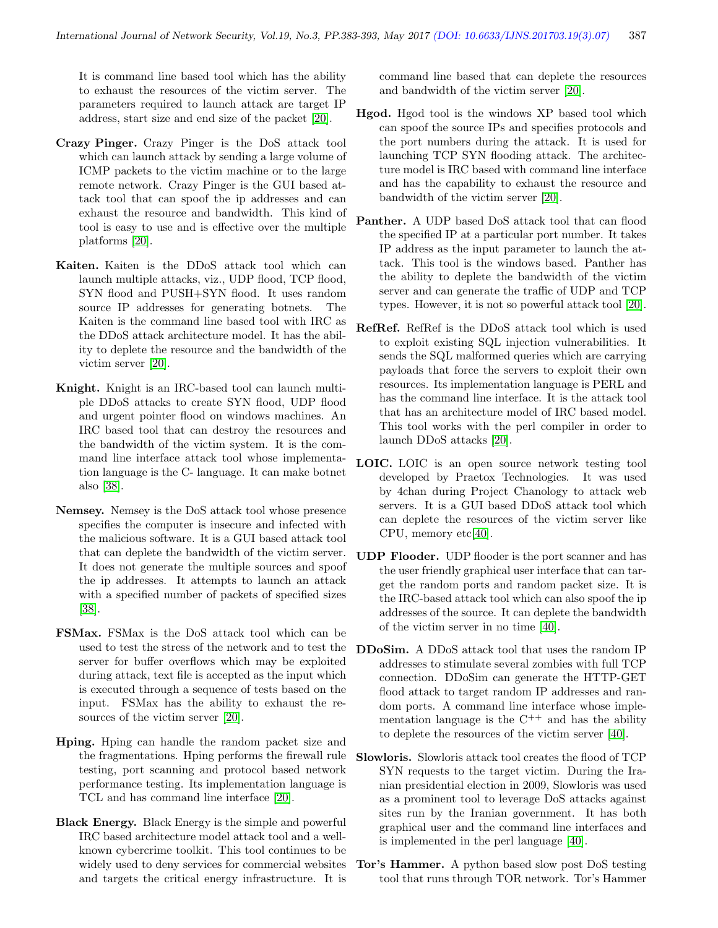It is command line based tool which has the ability to exhaust the resources of the victim server. The parameters required to launch attack are target IP address, start size and end size of the packet [\[20\]](#page-9-12).

- Crazy Pinger. Crazy Pinger is the DoS attack tool which can launch attack by sending a large volume of ICMP packets to the victim machine or to the large remote network. Crazy Pinger is the GUI based attack tool that can spoof the ip addresses and can exhaust the resource and bandwidth. This kind of tool is easy to use and is effective over the multiple platforms [\[20\]](#page-9-12).
- Kaiten. Kaiten is the DDoS attack tool which can launch multiple attacks, viz., UDP flood, TCP flood, SYN flood and PUSH+SYN flood. It uses random source IP addresses for generating botnets. The Kaiten is the command line based tool with IRC as the DDoS attack architecture model. It has the ability to deplete the resource and the bandwidth of the victim server [\[20\]](#page-9-12).
- Knight. Knight is an IRC-based tool can launch multiple DDoS attacks to create SYN flood, UDP flood and urgent pointer flood on windows machines. An IRC based tool that can destroy the resources and the bandwidth of the victim system. It is the command line interface attack tool whose implementation language is the C- language. It can make botnet also [\[38\]](#page-10-7).
- Nemsey. Nemsey is the DoS attack tool whose presence specifies the computer is insecure and infected with the malicious software. It is a GUI based attack tool that can deplete the bandwidth of the victim server. It does not generate the multiple sources and spoof the ip addresses. It attempts to launch an attack with a specified number of packets of specified sizes [\[38\]](#page-10-7).
- FSMax. FSMax is the DoS attack tool which can be used to test the stress of the network and to test the server for buffer overflows which may be exploited during attack, text file is accepted as the input which is executed through a sequence of tests based on the input. FSMax has the ability to exhaust the resources of the victim server [\[20\]](#page-9-12).
- Hping. Hping can handle the random packet size and the fragmentations. Hping performs the firewall rule testing, port scanning and protocol based network performance testing. Its implementation language is TCL and has command line interface [\[20\]](#page-9-12).
- Black Energy. Black Energy is the simple and powerful IRC based architecture model attack tool and a wellknown cybercrime toolkit. This tool continues to be widely used to deny services for commercial websites and targets the critical energy infrastructure. It is

command line based that can deplete the resources and bandwidth of the victim server [\[20\]](#page-9-12).

- Hgod. Hgod tool is the windows XP based tool which can spoof the source IPs and specifies protocols and the port numbers during the attack. It is used for launching TCP SYN flooding attack. The architecture model is IRC based with command line interface and has the capability to exhaust the resource and bandwidth of the victim server [\[20\]](#page-9-12).
- Panther. A UDP based DoS attack tool that can flood the specified IP at a particular port number. It takes IP address as the input parameter to launch the attack. This tool is the windows based. Panther has the ability to deplete the bandwidth of the victim server and can generate the traffic of UDP and TCP types. However, it is not so powerful attack tool [\[20\]](#page-9-12).
- RefRef. RefRef is the DDoS attack tool which is used to exploit existing SQL injection vulnerabilities. It sends the SQL malformed queries which are carrying payloads that force the servers to exploit their own resources. Its implementation language is PERL and has the command line interface. It is the attack tool that has an architecture model of IRC based model. This tool works with the perl compiler in order to launch DDoS attacks [\[20\]](#page-9-12).
- LOIC. LOIC is an open source network testing tool developed by Praetox Technologies. It was used by 4chan during Project Chanology to attack web servers. It is a GUI based DDoS attack tool which can deplete the resources of the victim server like CPU, memory etc[\[40\]](#page-10-8).
- UDP Flooder. UDP flooder is the port scanner and has the user friendly graphical user interface that can target the random ports and random packet size. It is the IRC-based attack tool which can also spoof the ip addresses of the source. It can deplete the bandwidth of the victim server in no time [\[40\]](#page-10-8).
- DDoSim. A DDoS attack tool that uses the random IP addresses to stimulate several zombies with full TCP connection. DDoSim can generate the HTTP-GET flood attack to target random IP addresses and random ports. A command line interface whose implementation language is the  $C^{++}$  and has the ability to deplete the resources of the victim server [\[40\]](#page-10-8).
- Slowloris. Slowloris attack tool creates the flood of TCP SYN requests to the target victim. During the Iranian presidential election in 2009, Slowloris was used as a prominent tool to leverage DoS attacks against sites run by the Iranian government. It has both graphical user and the command line interfaces and is implemented in the perl language [\[40\]](#page-10-8).
- Tor's Hammer. A python based slow post DoS testing tool that runs through TOR network. Tor's Hammer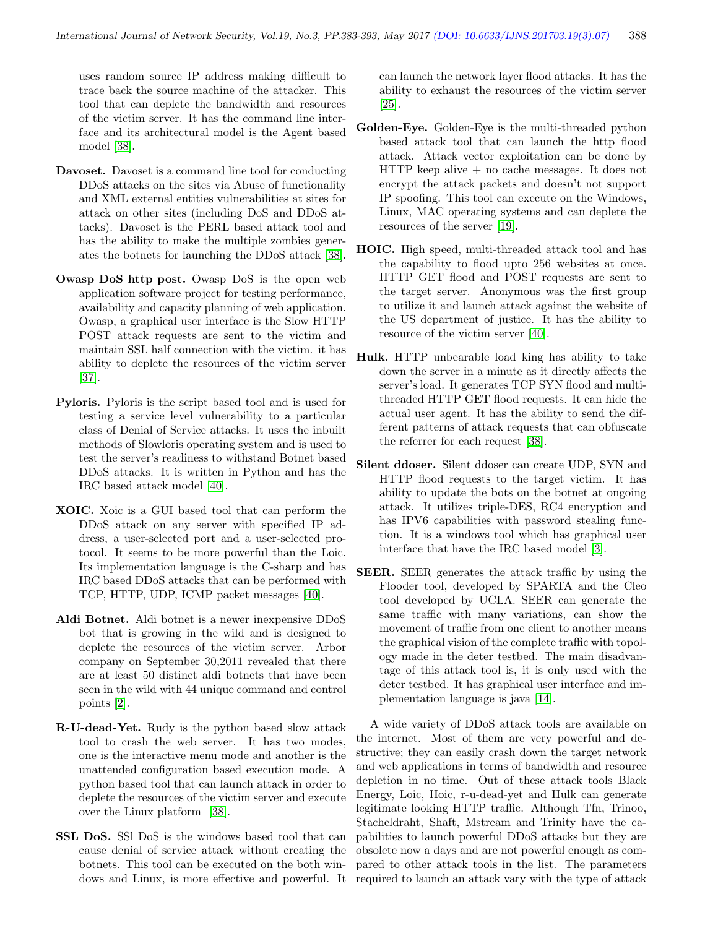uses random source IP address making difficult to trace back the source machine of the attacker. This tool that can deplete the bandwidth and resources of the victim server. It has the command line interface and its architectural model is the Agent based model [\[38\]](#page-10-7).

- Davoset. Davoset is a command line tool for conducting DDoS attacks on the sites via Abuse of functionality and XML external entities vulnerabilities at sites for attack on other sites (including DoS and DDoS attacks). Davoset is the PERL based attack tool and has the ability to make the multiple zombies generates the botnets for launching the DDoS attack [\[38\]](#page-10-7).
- Owasp DoS http post. Owasp DoS is the open web application software project for testing performance, availability and capacity planning of web application. Owasp, a graphical user interface is the Slow HTTP POST attack requests are sent to the victim and maintain SSL half connection with the victim. it has ability to deplete the resources of the victim server [\[37\]](#page-10-9).
- Pyloris. Pyloris is the script based tool and is used for testing a service level vulnerability to a particular class of Denial of Service attacks. It uses the inbuilt methods of Slowloris operating system and is used to test the server's readiness to withstand Botnet based DDoS attacks. It is written in Python and has the IRC based attack model [\[40\]](#page-10-8).
- XOIC. Xoic is a GUI based tool that can perform the DDoS attack on any server with specified IP address, a user-selected port and a user-selected protocol. It seems to be more powerful than the Loic. Its implementation language is the C-sharp and has IRC based DDoS attacks that can be performed with TCP, HTTP, UDP, ICMP packet messages [\[40\]](#page-10-8).
- Aldi Botnet. Aldi botnet is a newer inexpensive DDoS bot that is growing in the wild and is designed to deplete the resources of the victim server. Arbor company on September 30,2011 revealed that there are at least 50 distinct aldi botnets that have been seen in the wild with 44 unique command and control points [\[2\]](#page-9-17).
- R-U-dead-Yet. Rudy is the python based slow attack tool to crash the web server. It has two modes, one is the interactive menu mode and another is the unattended configuration based execution mode. A python based tool that can launch attack in order to deplete the resources of the victim server and execute over the Linux platform [\[38\]](#page-10-7).
- SSL DoS. SSl DoS is the windows based tool that can cause denial of service attack without creating the botnets. This tool can be executed on the both windows and Linux, is more effective and powerful. It

can launch the network layer flood attacks. It has the ability to exhaust the resources of the victim server [\[25\]](#page-9-18).

- Golden-Eye. Golden-Eye is the multi-threaded python based attack tool that can launch the http flood attack. Attack vector exploitation can be done by HTTP keep alive + no cache messages. It does not encrypt the attack packets and doesn't not support IP spoofing. This tool can execute on the Windows, Linux, MAC operating systems and can deplete the resources of the server [\[19\]](#page-9-19).
- HOIC. High speed, multi-threaded attack tool and has the capability to flood upto 256 websites at once. HTTP GET flood and POST requests are sent to the target server. Anonymous was the first group to utilize it and launch attack against the website of the US department of justice. It has the ability to resource of the victim server [\[40\]](#page-10-8).
- Hulk. HTTP unbearable load king has ability to take down the server in a minute as it directly affects the server's load. It generates TCP SYN flood and multithreaded HTTP GET flood requests. It can hide the actual user agent. It has the ability to send the different patterns of attack requests that can obfuscate the referrer for each request [\[38\]](#page-10-7).
- Silent ddoser. Silent ddoser can create UDP, SYN and HTTP flood requests to the target victim. It has ability to update the bots on the botnet at ongoing attack. It utilizes triple-DES, RC4 encryption and has IPV6 capabilities with password stealing function. It is a windows tool which has graphical user interface that have the IRC based model [\[3\]](#page-9-20).
- SEER. SEER generates the attack traffic by using the Flooder tool, developed by SPARTA and the Cleo tool developed by UCLA. SEER can generate the same traffic with many variations, can show the movement of traffic from one client to another means the graphical vision of the complete traffic with topology made in the deter testbed. The main disadvantage of this attack tool is, it is only used with the deter testbed. It has graphical user interface and implementation language is java [\[14\]](#page-9-21).

A wide variety of DDoS attack tools are available on the internet. Most of them are very powerful and destructive; they can easily crash down the target network and web applications in terms of bandwidth and resource depletion in no time. Out of these attack tools Black Energy, Loic, Hoic, r-u-dead-yet and Hulk can generate legitimate looking HTTP traffic. Although Tfn, Trinoo, Stacheldraht, Shaft, Mstream and Trinity have the capabilities to launch powerful DDoS attacks but they are obsolete now a days and are not powerful enough as compared to other attack tools in the list. The parameters required to launch an attack vary with the type of attack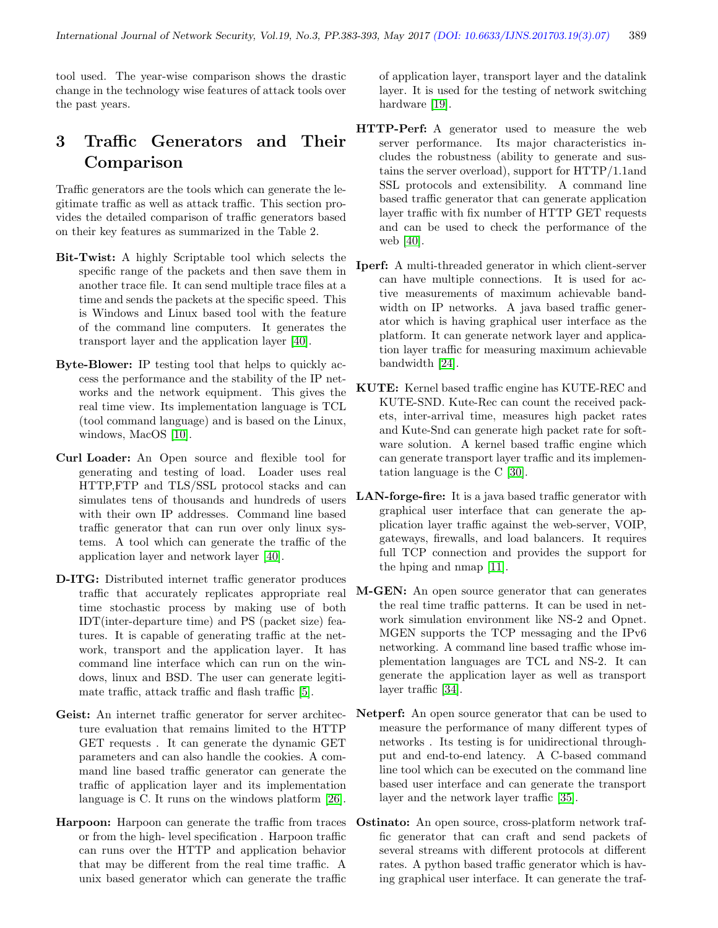tool used. The year-wise comparison shows the drastic change in the technology wise features of attack tools over the past years.

## 3 Traffic Generators and Their Comparison

Traffic generators are the tools which can generate the legitimate traffic as well as attack traffic. This section provides the detailed comparison of traffic generators based on their key features as summarized in the Table 2.

- Bit-Twist: A highly Scriptable tool which selects the specific range of the packets and then save them in another trace file. It can send multiple trace files at a time and sends the packets at the specific speed. This is Windows and Linux based tool with the feature of the command line computers. It generates the transport layer and the application layer [\[40\]](#page-10-8).
- Byte-Blower: IP testing tool that helps to quickly access the performance and the stability of the IP networks and the network equipment. This gives the real time view. Its implementation language is TCL (tool command language) and is based on the Linux, windows, MacOS [\[10\]](#page-9-22).
- Curl Loader: An Open source and flexible tool for generating and testing of load. Loader uses real HTTP,FTP and TLS/SSL protocol stacks and can simulates tens of thousands and hundreds of users with their own IP addresses. Command line based traffic generator that can run over only linux systems. A tool which can generate the traffic of the application layer and network layer [\[40\]](#page-10-8).
- D-ITG: Distributed internet traffic generator produces traffic that accurately replicates appropriate real time stochastic process by making use of both IDT(inter-departure time) and PS (packet size) features. It is capable of generating traffic at the network, transport and the application layer. It has command line interface which can run on the windows, linux and BSD. The user can generate legitimate traffic, attack traffic and flash traffic [\[5\]](#page-9-7).
- Geist: An internet traffic generator for server architecture evaluation that remains limited to the HTTP GET requests . It can generate the dynamic GET parameters and can also handle the cookies. A command line based traffic generator can generate the traffic of application layer and its implementation language is C. It runs on the windows platform [\[26\]](#page-9-23).
- Harpoon: Harpoon can generate the traffic from traces or from the high- level specification . Harpoon traffic can runs over the HTTP and application behavior that may be different from the real time traffic. A unix based generator which can generate the traffic

of application layer, transport layer and the datalink layer. It is used for the testing of network switching hardware [\[19\]](#page-9-19).

- HTTP-Perf: A generator used to measure the web server performance. Its major characteristics includes the robustness (ability to generate and sustains the server overload), support for HTTP/1.1and SSL protocols and extensibility. A command line based traffic generator that can generate application layer traffic with fix number of HTTP GET requests and can be used to check the performance of the web [\[40\]](#page-10-8).
- Iperf: A multi-threaded generator in which client-server can have multiple connections. It is used for active measurements of maximum achievable bandwidth on IP networks. A java based traffic generator which is having graphical user interface as the platform. It can generate network layer and application layer traffic for measuring maximum achievable bandwidth [\[24\]](#page-9-24).
- KUTE: Kernel based traffic engine has KUTE-REC and KUTE-SND. Kute-Rec can count the received packets, inter-arrival time, measures high packet rates and Kute-Snd can generate high packet rate for software solution. A kernel based traffic engine which can generate transport layer traffic and its implementation language is the C [\[30\]](#page-10-10).
- LAN-forge-fire: It is a java based traffic generator with graphical user interface that can generate the application layer traffic against the web-server, VOIP, gateways, firewalls, and load balancers. It requires full TCP connection and provides the support for the hping and nmap [\[11\]](#page-9-25).
- M-GEN: An open source generator that can generates the real time traffic patterns. It can be used in network simulation environment like NS-2 and Opnet. MGEN supports the TCP messaging and the IPv6 networking. A command line based traffic whose implementation languages are TCL and NS-2. It can generate the application layer as well as transport layer traffic [\[34\]](#page-10-11).
- Netperf: An open source generator that can be used to measure the performance of many different types of networks . Its testing is for unidirectional throughput and end-to-end latency. A C-based command line tool which can be executed on the command line based user interface and can generate the transport layer and the network layer traffic [\[35\]](#page-10-12).
- Ostinato: An open source, cross-platform network traffic generator that can craft and send packets of several streams with different protocols at different rates. A python based traffic generator which is having graphical user interface. It can generate the traf-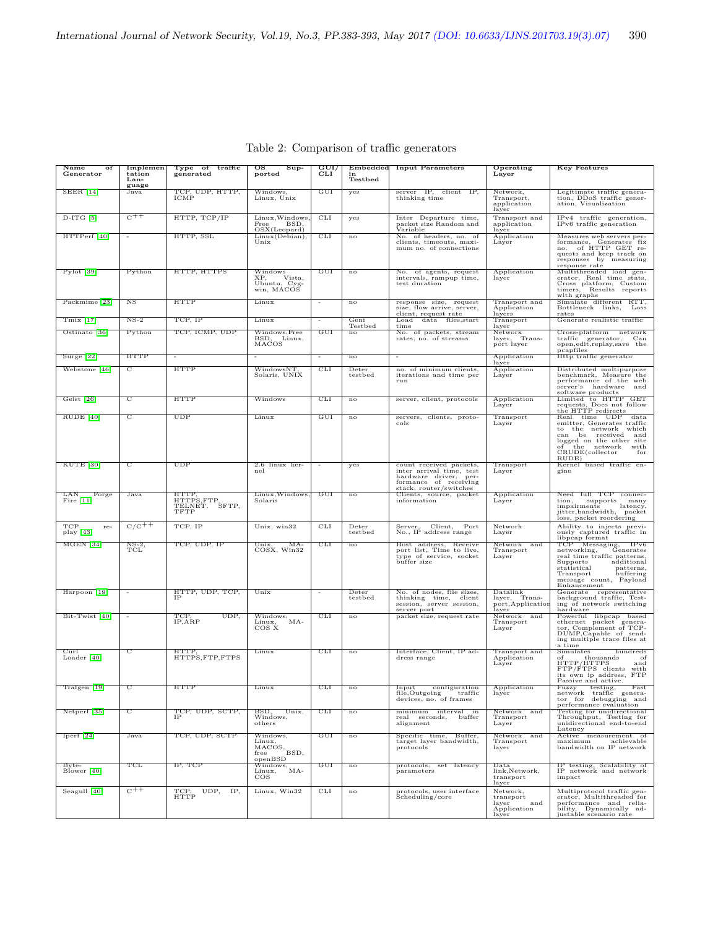| Name<br>of<br>Generator        | Implemen<br>tation<br>Lan- | Type of traffic<br>generated                   | $\overline{\mathrm{os}}$<br>$S$ up-<br>ported           | $\overline{\mathrm{GUI}/}$<br><b>CLI</b> | Embedded<br>Testbed | <b>Input Parameters</b>                                                                                                         | Operating<br>Layer                                            | <b>Key Features</b>                                                                                                                                                                                                      |
|--------------------------------|----------------------------|------------------------------------------------|---------------------------------------------------------|------------------------------------------|---------------------|---------------------------------------------------------------------------------------------------------------------------------|---------------------------------------------------------------|--------------------------------------------------------------------------------------------------------------------------------------------------------------------------------------------------------------------------|
| $SEER$ [14]                    | guage<br>Java              | TCP, UDP, HTTP,<br>ICMP                        | Windows,<br>Linux, Unix                                 | GUI                                      | yes                 | server IP, client IP,<br>thinking time                                                                                          | Network,<br>Transport,<br>application<br>layer                | Legitimate traffic genera-<br>tion, DDoS traffic gener-<br>ation, Visualization                                                                                                                                          |
| $D-ITG$ [5]                    | $\overline{C^{++}}$        | HTTP, TCP/IP                                   | Linux, Windows,<br>Free<br>BSD.<br>OSX(Leopard)         | <b>CLI</b>                               | yes                 | Inter Departure time,<br>packet size Random and<br>Variable                                                                     | Transport and<br>application<br>layer                         | IPv4 traffic generation,<br>IPv6 traffic generation                                                                                                                                                                      |
| HTTPerf <sup>[40]</sup>        |                            | HTTP, SSL                                      | Linux(Debian),<br>Unix                                  | <b>CLI</b>                               | $\overline{no}$     | No. of headers, no. of<br>clients, timeouts, maxi-<br>mum no. of connections                                                    | Application<br>Layer                                          | Measures web servers per-<br>formance, Generates fix<br>no. of HTTP GET re-<br>quests and keep track on<br>responses by measuring<br>response rate                                                                       |
| Pylot [39]                     | Python                     | HTTP, HTTPS                                    | Windows<br>Vista,<br>XP,<br>Ubuntu, Cyg-<br>win, MACOS  | GUI                                      | $_{\rm no}$         | No. of agents, request<br>intervals, rampup time,<br>test duration                                                              | Application<br>layer                                          | Multithreaded load gen-<br>erator, Real time stats,<br>Cross platform, Custom<br>timers, Results reports<br>with graphs                                                                                                  |
| Packmime [23]                  | $_{\rm NS}$                | <b>HTTP</b>                                    | Linux                                                   |                                          | no                  | response size, request<br>size, flow arrive, server,<br>client, request rate                                                    | Transport and<br>Application<br>layers                        | Simulate different RTT,<br>Bottleneck links,<br>Loss<br>rates                                                                                                                                                            |
| $Tmix$ [17]                    | $NS-2$                     | TCP, IP                                        | Linux                                                   |                                          | Geni<br>Testbed     | $_{\text{Load}}$<br>data files, start<br>time                                                                                   | Transport<br>layer                                            | Generate realistic traffic                                                                                                                                                                                               |
| Ostinato [36]                  | Python                     | TCP, ICMP, UDP                                 | Windows, Free<br>BSD, Linux,<br>MACOS                   | GUI                                      | $\mathbf{n}$        | No. of packets, stream<br>rates, no. of streams                                                                                 | Network<br>Trans-<br>layer,<br>port layer                     | Cross-platform network<br>traffic generator,<br>Can<br>open, edit, replay, save the<br>pcapfiles                                                                                                                         |
| Surge $[22]$                   | <b>HTTP</b>                |                                                |                                                         |                                          | $\mathbf{no}$       |                                                                                                                                 | Application<br>layer                                          | Http traffic generator                                                                                                                                                                                                   |
| Webstone [46]                  | C                          | <b>HTTP</b>                                    | WindowsNT<br>Solaris, UNIX                              | CLI                                      | Deter<br>testbed    | no. of minimum clients,<br>iterations and time per<br>run                                                                       | Application<br>Layer                                          | Distributed multipurpose<br>benchmark, Measure the<br>performance of the web<br>server's hardware<br>and<br>software products                                                                                            |
| Geist [26]                     | C                          | <b>HTTP</b>                                    | Windows                                                 | <b>CLI</b>                               | $_{\rm no}$         | server, client, protocols                                                                                                       | Application<br>Layer                                          | Limited to HTTP GET<br>requests, Does not follow<br>the HTTP redirects                                                                                                                                                   |
| $RUDE$ [40]                    | $\overline{\mathrm{c}}$    | UDP                                            | Linux                                                   | GUI                                      | $\mathbf{n}$        | servers, clients, proto-<br>cols                                                                                                | Transport<br>Layer                                            | Real time UDP data<br>emitter, Generates traffic<br>to the network which<br>can be received and<br>logged on the other site<br>the network<br>of<br>with<br>$CRUDE$ (collector<br>for<br>RUDE)                           |
| KUTE [30]                      | $\overline{\mathrm{c}}$    | $\overline{\text{UDP}}$                        | 2.6 linux ker-<br>nel                                   |                                          | yes                 | count received packets,<br>inter arrival time, test<br>hardware driver, per-<br>formance of receiving<br>stack, router/switches | Transport<br>Layer                                            | Kernel based traffic en-<br>gine                                                                                                                                                                                         |
| LAN<br>Forge<br>Fire $[11]$    | Java                       | HTTP<br>HTTPS,FTP,<br>TELNET,<br>SFTP,<br>TFTP | Linux, Windows,<br>Solaris                              | GUT                                      | n <sub>o</sub>      | Clients, source, packet<br>information                                                                                          | Application<br>Layer                                          | Need full TCP connec-<br>supports<br>tion.<br>many<br>impairments latency,<br>jitter,bandwidth, packet<br>loss, packet reordering                                                                                        |
| TCP<br>re-<br>play [43]        | $C/C^{++}$                 | TCP, IP                                        | Unix, win32                                             | <b>CLI</b>                               | Deter<br>testbed    | Client,<br>Server,<br>Port<br>No., IP address range                                                                             | Network<br>Layer                                              | Ability to injects previ-<br>ously captured traffic in<br>libpcap format                                                                                                                                                 |
| $MGEN$ [34]                    | $_{\rm TCL}^{\rm NS-2}$    | TCP, UDP, IP                                   | MA-<br>Unix,<br>COSX, Win32                             | <b>CLI</b>                               | no                  | Host address, Receive<br>port list, Time to live,<br>type of service, socket<br>buffer size                                     | Network and<br>Transport<br>Layer                             | libpcap Ion<br>TCP Messaging, IPv6<br>American Generates<br>Lams<br>real time traffic patterns,<br>Supports<br>additional<br>statistical<br>patterns,<br>Transport<br>buffering<br>message count, Payload<br>Enhancement |
| Harpoon [19]                   |                            | HTTP, UDP, TCP,<br>IΡ                          | Unix                                                    |                                          | Deter<br>testbed    | No. of nodes, file sizes,<br>thinking time, client<br>session, server session,<br>server port                                   | Datalink<br>layer, Trans-<br>port, Application<br>layer       | Generate representative<br>background traffic, Test-<br>ing of network switching<br>hardware                                                                                                                             |
| Bit-Twist [40]                 |                            | UDP,<br>TCP<br>$IP, \overline{ARP}$            | Windows,<br>$MA-$<br>$_{\cos x}^{\text{Linux},}$        | <b>CLI</b>                               | no                  | packet size, request rate                                                                                                       | Network and<br>Transport<br>Layer                             | Powerful libpcap based<br>ethernet packet genera-<br>tor, Complement of TCP-<br>DUMP, Capable of send-<br>ing multiple trace files at<br>a time                                                                          |
| $_{\rm Curl}$<br>Loader $[40]$ | C                          | <b>HTTP</b><br>HTTPS,FTP,FTPS                  | Linux                                                   | <b>CLI</b>                               | $\overline{no}$     | Interface, Client, IP ad-<br>dress range                                                                                        | Transport and<br>Application<br>Layer                         | Simulates<br>hundreds<br>thousands<br>of<br>of<br>HTTP/HTTPS<br>and<br>FTP/FTPS clients<br>with<br>its own ip address, FTP<br>Passive and active.                                                                        |
| Trafgen [19]                   |                            | <b>HTTP</b>                                    | Linux                                                   | <b>CLI</b>                               | no                  | Input<br>configuration Application<br>ing traffic layer<br>file, Outgoing<br>devices, no. of frames                             | layer                                                         | Fuzzy testing, Fast<br>network traffic genera-<br>tor for debugging and<br>performance evaluation                                                                                                                        |
| Netperf <sup>[35]</sup>        | С                          | TCP, UDP, SCTP,<br><b>IP</b>                   | BSD,<br>Unix,<br>Windows,<br>others                     | CLI                                      | $_{\rm no}$         | minimum interval in<br>real seconds,<br>buffer<br>alignment                                                                     | Network and<br>Transport<br>Layer                             | Testing for unidirectional<br>Throughput, Testing for<br>unidirectional end-to-end<br>Latency                                                                                                                            |
| Iperf [24]                     | Java                       | TCP, UDP, SCTP                                 | Windows,<br>Linux,<br>MACOS,<br>BSD,<br>free<br>openBSD | GUI                                      | no                  | Specific time, Buffer,<br>target layer bandwidth,<br>protocols                                                                  | Network and<br>Transport<br>layer                             | Active measurement of<br>$\begin{tabular}{ll} maximum & achievable \\ bandwidth on IP network \end{tabular}$                                                                                                             |
| $B$ yte-<br>Blower [40]        | TCL                        | IP, TCP                                        | Windows,<br>$^{\prime}$ MA-<br>Linux,<br>$\cos$         | GUI                                      | no                  | protocols, set latency<br>parameters                                                                                            | Data<br>link, Network,<br>transport<br>layer                  | IP testing, Scalability of<br>IP network and network<br>impact                                                                                                                                                           |
| Seagull [40]                   | $C_{++}$                   | TCP,<br>UDP,<br>IP,<br>HTTP                    | Linux, Win32                                            | CLI                                      | $_{\rm no}$         | protocols, user interface<br>Scheduling/core                                                                                    | Network,<br>transport<br>and<br>layer<br>Application<br>layer | Multiprotocol traffic gen-<br>erator, Multithreaded for<br>performance and relia-<br>bility, Dynamically ad-<br>justable scenario rate                                                                                   |

Table 2: Comparison of traffic generators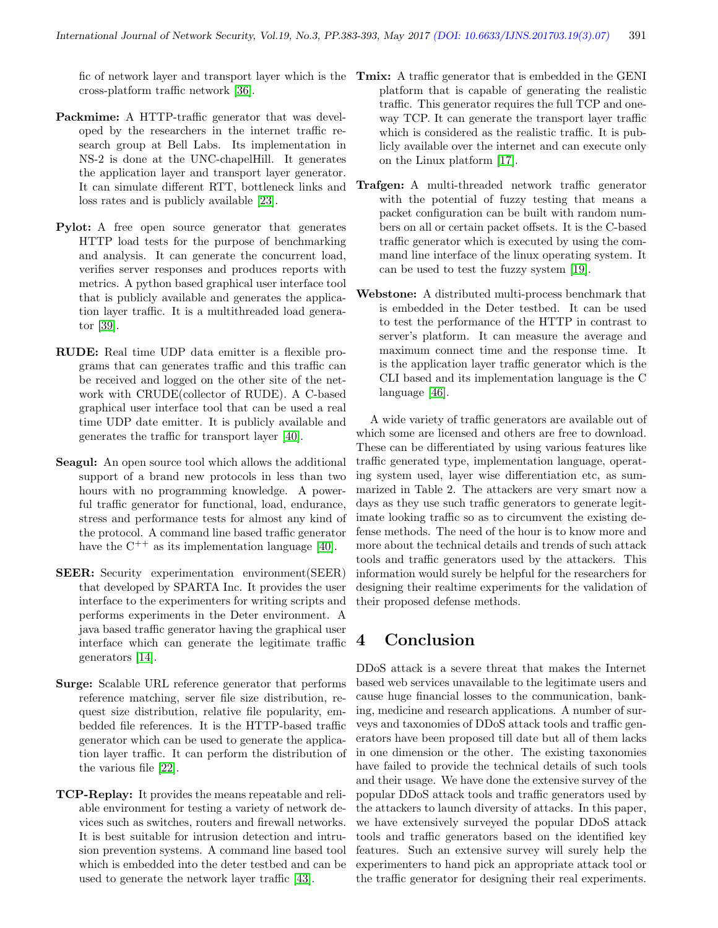fic of network layer and transport layer which is the Tmix: A traffic generator that is embedded in the GENI cross-platform traffic network [\[36\]](#page-10-14).

- Packmime: A HTTP-traffic generator that was developed by the researchers in the internet traffic research group at Bell Labs. Its implementation in NS-2 is done at the UNC-chapelHill. It generates the application layer and transport layer generator. It can simulate different RTT, bottleneck links and loss rates and is publicly available [\[23\]](#page-9-26).
- Pylot: A free open source generator that generates HTTP load tests for the purpose of benchmarking and analysis. It can generate the concurrent load, verifies server responses and produces reports with metrics. A python based graphical user interface tool that is publicly available and generates the application layer traffic. It is a multithreaded load generator [\[39\]](#page-10-13).
- RUDE: Real time UDP data emitter is a flexible programs that can generates traffic and this traffic can be received and logged on the other site of the network with CRUDE(collector of RUDE). A C-based graphical user interface tool that can be used a real time UDP date emitter. It is publicly available and generates the traffic for transport layer [\[40\]](#page-10-8).
- Seagul: An open source tool which allows the additional support of a brand new protocols in less than two hours with no programming knowledge. A powerful traffic generator for functional, load, endurance, stress and performance tests for almost any kind of the protocol. A command line based traffic generator have the  $C^{++}$  as its implementation language [\[40\]](#page-10-8).
- SEER: Security experimentation environment(SEER) that developed by SPARTA Inc. It provides the user interface to the experimenters for writing scripts and performs experiments in the Deter environment. A java based traffic generator having the graphical user interface which can generate the legitimate traffic generators [\[14\]](#page-9-21).
- Surge: Scalable URL reference generator that performs reference matching, server file size distribution, request size distribution, relative file popularity, embedded file references. It is the HTTP-based traffic generator which can be used to generate the application layer traffic. It can perform the distribution of the various file [\[22\]](#page-9-28).
- TCP-Replay: It provides the means repeatable and reliable environment for testing a variety of network devices such as switches, routers and firewall networks. It is best suitable for intrusion detection and intrusion prevention systems. A command line based tool which is embedded into the deter testbed and can be used to generate the network layer traffic [\[43\]](#page-10-16).
- platform that is capable of generating the realistic traffic. This generator requires the full TCP and oneway TCP. It can generate the transport layer traffic which is considered as the realistic traffic. It is publicly available over the internet and can execute only on the Linux platform [\[17\]](#page-9-27).
- Trafgen: A multi-threaded network traffic generator with the potential of fuzzy testing that means a packet configuration can be built with random numbers on all or certain packet offsets. It is the C-based traffic generator which is executed by using the command line interface of the linux operating system. It can be used to test the fuzzy system [\[19\]](#page-9-19).
- Webstone: A distributed multi-process benchmark that is embedded in the Deter testbed. It can be used to test the performance of the HTTP in contrast to server's platform. It can measure the average and maximum connect time and the response time. It is the application layer traffic generator which is the CLI based and its implementation language is the C language [\[46\]](#page-10-15).

A wide variety of traffic generators are available out of which some are licensed and others are free to download. These can be differentiated by using various features like traffic generated type, implementation language, operating system used, layer wise differentiation etc, as summarized in Table 2. The attackers are very smart now a days as they use such traffic generators to generate legitimate looking traffic so as to circumvent the existing defense methods. The need of the hour is to know more and more about the technical details and trends of such attack tools and traffic generators used by the attackers. This information would surely be helpful for the researchers for designing their realtime experiments for the validation of their proposed defense methods.

### 4 Conclusion

DDoS attack is a severe threat that makes the Internet based web services unavailable to the legitimate users and cause huge financial losses to the communication, banking, medicine and research applications. A number of surveys and taxonomies of DDoS attack tools and traffic generators have been proposed till date but all of them lacks in one dimension or the other. The existing taxonomies have failed to provide the technical details of such tools and their usage. We have done the extensive survey of the popular DDoS attack tools and traffic generators used by the attackers to launch diversity of attacks. In this paper, we have extensively surveyed the popular DDoS attack tools and traffic generators based on the identified key features. Such an extensive survey will surely help the experimenters to hand pick an appropriate attack tool or the traffic generator for designing their real experiments.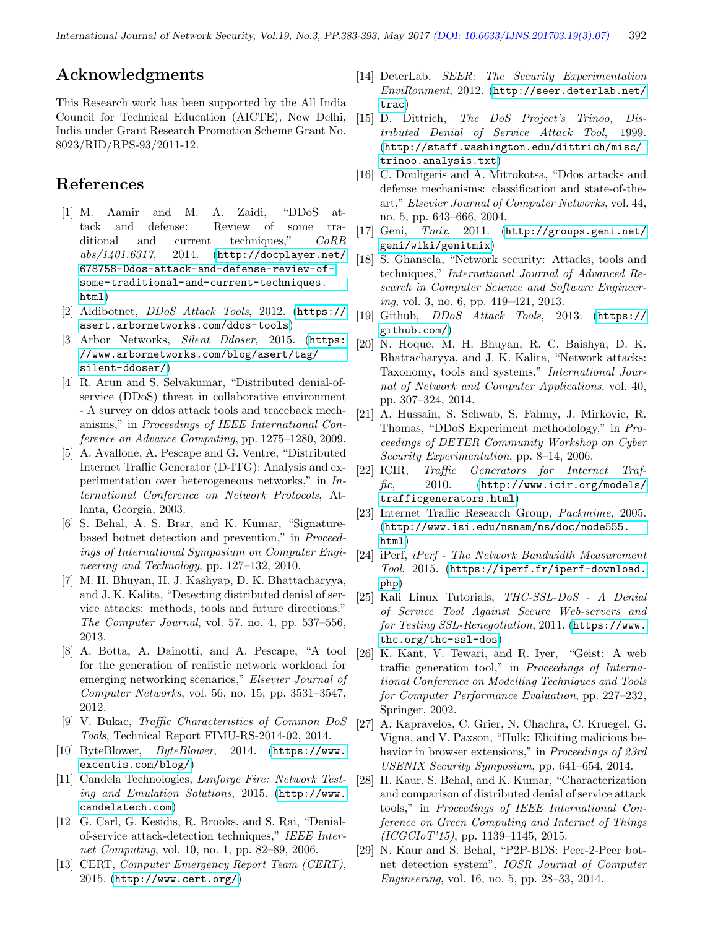### Acknowledgments

This Research work has been supported by the All India Council for Technical Education (AICTE), New Delhi, India under Grant Research Promotion Scheme Grant No. 8023/RID/RPS-93/2011-12.

### References

- <span id="page-9-1"></span>[1] M. Aamir and M. A. Zaidi, "DDoS attack and defense: Review of some traditional and current techniques," CoRR  $abs/1401.6317$ , 2014.  $(http://docplayer.net/$  $(http://docplayer.net/$ [678758-Ddos-attack-and-defense-review-of](http://docplayer.net/678758-Ddos-attack-and-defense-review-of-)[some-traditional-and-current-techniques.](some-traditional-and-current-techniques.html) [html](some-traditional-and-current-techniques.html))
- <span id="page-9-17"></span>[2] Aldibotnet,  $DDoS$  Attack Tools, 2012. ([https://](https://asert.arbornetworks.com/ddos-tools) [asert.arbornetworks.com/ddos-tools](https://asert.arbornetworks.com/ddos-tools))
- <span id="page-9-20"></span>[3] Arbor Networks, Silent Ddoser, 2015. ([https:](https://www.arbornetworks.com/blog/asert/tag/silent-ddoser/) [//www.arbornetworks.com/blog/asert/tag/](https://www.arbornetworks.com/blog/asert/tag/silent-ddoser/) [silent-ddoser/](https://www.arbornetworks.com/blog/asert/tag/silent-ddoser/))
- <span id="page-9-14"></span>[4] R. Arun and S. Selvakumar, "Distributed denial-ofservice (DDoS) threat in collaborative environment - A survey on ddos attack tools and traceback mechanisms," in Proceedings of IEEE International Conference on Advance Computing, pp. 1275–1280, 2009.
- <span id="page-9-7"></span>[5] A. Avallone, A. Pescape and G. Ventre, "Distributed Internet Traffic Generator (D-ITG): Analysis and experimentation over heterogeneous networks," in International Conference on Network Protocols, Atlanta, Georgia, 2003.
- <span id="page-9-2"></span>[6] S. Behal, A. S. Brar, and K. Kumar, "Signaturebased botnet detection and prevention," in Proceedings of International Symposium on Computer Engineering and Technology, pp. 127–132, 2010.
- <span id="page-9-3"></span>[7] M. H. Bhuyan, H. J. Kashyap, D. K. Bhattacharyya, and J. K. Kalita, "Detecting distributed denial of service attacks: methods, tools and future directions," The Computer Journal, vol. 57. no. 4, pp. 537–556, 2013.
- <span id="page-9-8"></span>[8] A. Botta, A. Dainotti, and A. Pescape, "A tool for the generation of realistic network workload for emerging networking scenarios," Elsevier Journal of Computer Networks, vol. 56, no. 15, pp. 3531–3547, 2012.
- <span id="page-9-9"></span>[9] V. Bukac, Traffic Characteristics of Common DoS Tools, Technical Report FIMU-RS-2014-02, 2014.
- <span id="page-9-22"></span>[10] ByteBlower, ByteBlower, 2014. ([https://www.](https://www.excentis.com/blog/) [excentis.com/blog/](https://www.excentis.com/blog/))
- <span id="page-9-25"></span>[11] Candela Technologies, Lanforge Fire: Network Testing and Emulation Solutions, 2015. ([http://www.](http://www.candelatech.com) [candelatech.com](http://www.candelatech.com))
- <span id="page-9-4"></span>[12] G. Carl, G. Kesidis, R. Brooks, and S. Rai, "Denialof-service attack-detection techniques," IEEE Internet Computing, vol. 10, no. 1, pp. 82–89, 2006.
- <span id="page-9-0"></span>[13] CERT, Computer Emergency Report Team (CERT), 2015. (<http://www.cert.org/>)
- <span id="page-9-21"></span>[14] DeterLab, SEER: The Security Experimentation EnviRonment, 2012. ([http://seer.deterlab.net/](http://seer.deterlab.net/trac) [trac](http://seer.deterlab.net/trac))
- <span id="page-9-5"></span>[15] D. Dittrich, The DoS Project's Trinoo, Distributed Denial of Service Attack Tool, 1999. ([http://staff.washington.edu/dittrich/misc/](http://staff. washington. edu/dittrich/misc/trinoo.analysis.txt) [trinoo.analysis.txt](http://staff. washington. edu/dittrich/misc/trinoo.analysis.txt))
- <span id="page-9-10"></span>[16] C. Douligeris and A. Mitrokotsa, "Ddos attacks and defense mechanisms: classification and state-of-theart," Elsevier Journal of Computer Networks, vol. 44, no. 5, pp. 643–666, 2004.
- <span id="page-9-27"></span>[17] Geni, Tmix, 2011. ([http://groups.geni.net/](http://groups.geni.net/geni/wiki/genitmix) [geni/wiki/genitmix](http://groups.geni.net/geni/wiki/genitmix))
- <span id="page-9-11"></span>[18] S. Ghansela, "Network security: Attacks, tools and techniques," International Journal of Advanced Research in Computer Science and Software Engineering, vol. 3, no. 6, pp. 419–421, 2013.
- <span id="page-9-19"></span>[19] Github, DDoS Attack Tools, 2013. ([https://](https://github.com/) [github.com/](https://github.com/))
- <span id="page-9-12"></span>[20] N. Hoque, M. H. Bhuyan, R. C. Baishya, D. K. Bhattacharyya, and J. K. Kalita, "Network attacks: Taxonomy, tools and systems," International Journal of Network and Computer Applications, vol. 40, pp. 307–324, 2014.
- <span id="page-9-15"></span>[21] A. Hussain, S. Schwab, S. Fahmy, J. Mirkovic, R. Thomas, "DDoS Experiment methodology," in Proceedings of DETER Community Workshop on Cyber Security Experimentation, pp. 8–14, 2006.
- <span id="page-9-28"></span>[22] ICIR, Traffic Generators for Internet Traf- $\text{fic},$  2010. ([http://www.icir.org/models/](http://www.icir.org/models/trafficgenerators.html) [trafficgenerators.html](http://www.icir.org/models/trafficgenerators.html))
- <span id="page-9-26"></span>[23] Internet Traffic Research Group, Packmime, 2005. ([http://www.isi.edu/nsnam/ns/doc/node555.](http://www.isi.edu/nsnam/ns/doc/node555.html) [html](http://www.isi.edu/nsnam/ns/doc/node555.html))
- <span id="page-9-24"></span>[24] iPerf, iPerf - The Network Bandwidth Measurement Tool, 2015. ([https://iperf.fr/iperf-download.](https://iperf.fr/iperf-download.php) [php](https://iperf.fr/iperf-download.php))
- <span id="page-9-18"></span>[25] Kali Linux Tutorials, THC-SSL-DoS - A Denial of Service Tool Against Secure Web-servers and for Testing SSL-Renegotiation, 2011. ([https://www.](https://www.thc.org/thc-ssl-dos) [thc.org/thc-ssl-dos](https://www.thc.org/thc-ssl-dos))
- <span id="page-9-23"></span>[26] K. Kant, V. Tewari, and R. Iyer, "Geist: A web traffic generation tool," in Proceedings of International Conference on Modelling Techniques and Tools for Computer Performance Evaluation, pp. 227–232, Springer, 2002.
- <span id="page-9-16"></span>[27] A. Kapravelos, C. Grier, N. Chachra, C. Kruegel, G. Vigna, and V. Paxson, "Hulk: Eliciting malicious behavior in browser extensions," in Proceedings of 23rd USENIX Security Symposium, pp. 641–654, 2014.
- <span id="page-9-13"></span>[28] H. Kaur, S. Behal, and K. Kumar, "Characterization and comparison of distributed denial of service attack tools," in Proceedings of IEEE International Conference on Green Computing and Internet of Things (ICGCIoT'15), pp. 1139–1145, 2015.
- <span id="page-9-6"></span>[29] N. Kaur and S. Behal, "P2P-BDS: Peer-2-Peer botnet detection system", IOSR Journal of Computer Engineering, vol. 16, no. 5, pp. 28–33, 2014.